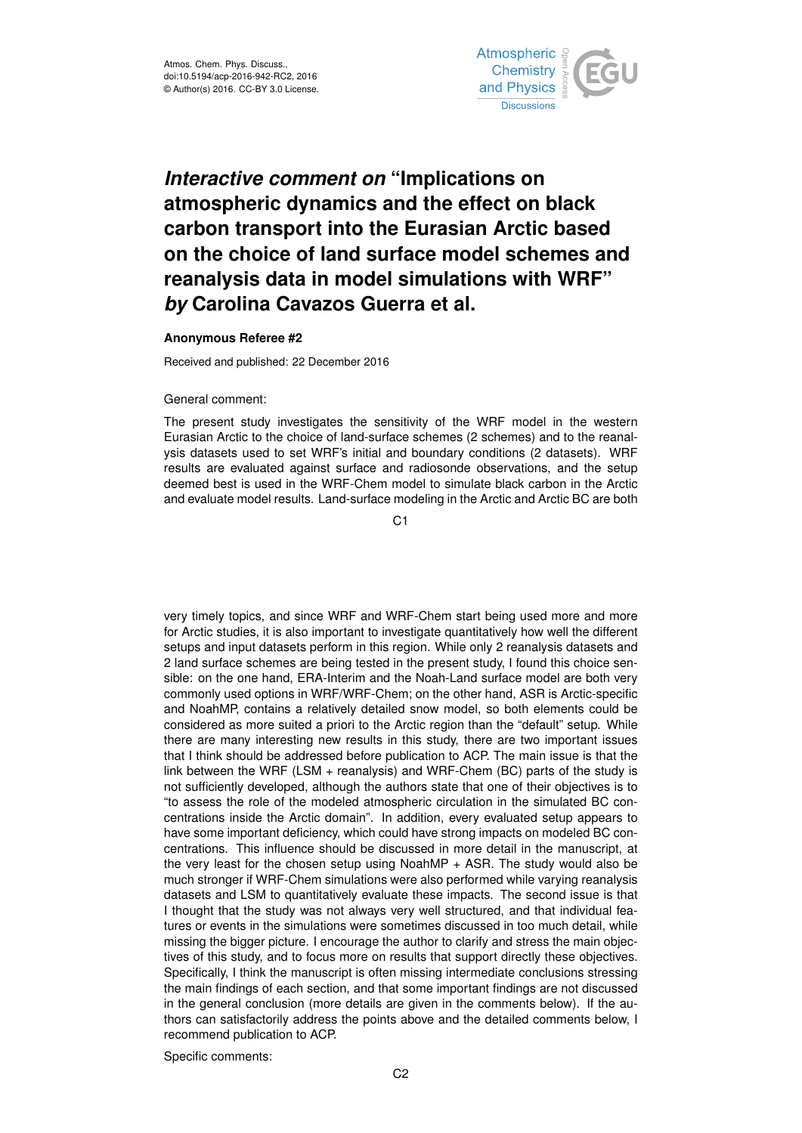

## *Interactive comment on* **"Implications on atmospheric dynamics and the effect on black carbon transport into the Eurasian Arctic based on the choice of land surface model schemes and reanalysis data in model simulations with WRF"** *by* **Carolina Cavazos Guerra et al.**

## **Anonymous Referee #2**

Received and published: 22 December 2016

## General comment:

The present study investigates the sensitivity of the WRF model in the western Eurasian Arctic to the choice of land-surface schemes (2 schemes) and to the reanalysis datasets used to set WRF's initial and boundary conditions (2 datasets). WRF results are evaluated against surface and radiosonde observations, and the setup deemed best is used in the WRF-Chem model to simulate black carbon in the Arctic and evaluate model results. Land-surface modeling in the Arctic and Arctic BC are both

C1

very timely topics, and since WRF and WRF-Chem start being used more and more for Arctic studies, it is also important to investigate quantitatively how well the different setups and input datasets perform in this region. While only 2 reanalysis datasets and 2 land surface schemes are being tested in the present study, I found this choice sensible: on the one hand, ERA-Interim and the Noah-Land surface model are both very commonly used options in WRF/WRF-Chem; on the other hand, ASR is Arctic-specific and NoahMP, contains a relatively detailed snow model, so both elements could be considered as more suited a priori to the Arctic region than the "default" setup. While there are many interesting new results in this study, there are two important issues that I think should be addressed before publication to ACP. The main issue is that the link between the WRF (LSM + reanalysis) and WRF-Chem (BC) parts of the study is not sufficiently developed, although the authors state that one of their objectives is to "to assess the role of the modeled atmospheric circulation in the simulated BC concentrations inside the Arctic domain". In addition, every evaluated setup appears to have some important deficiency, which could have strong impacts on modeled BC concentrations. This influence should be discussed in more detail in the manuscript, at the very least for the chosen setup using NoahMP + ASR. The study would also be much stronger if WRF-Chem simulations were also performed while varying reanalysis datasets and LSM to quantitatively evaluate these impacts. The second issue is that I thought that the study was not always very well structured, and that individual features or events in the simulations were sometimes discussed in too much detail, while missing the bigger picture. I encourage the author to clarify and stress the main objectives of this study, and to focus more on results that support directly these objectives. Specifically, I think the manuscript is often missing intermediate conclusions stressing the main findings of each section, and that some important findings are not discussed in the general conclusion (more details are given in the comments below). If the authors can satisfactorily address the points above and the detailed comments below, I recommend publication to ACP.

Specific comments: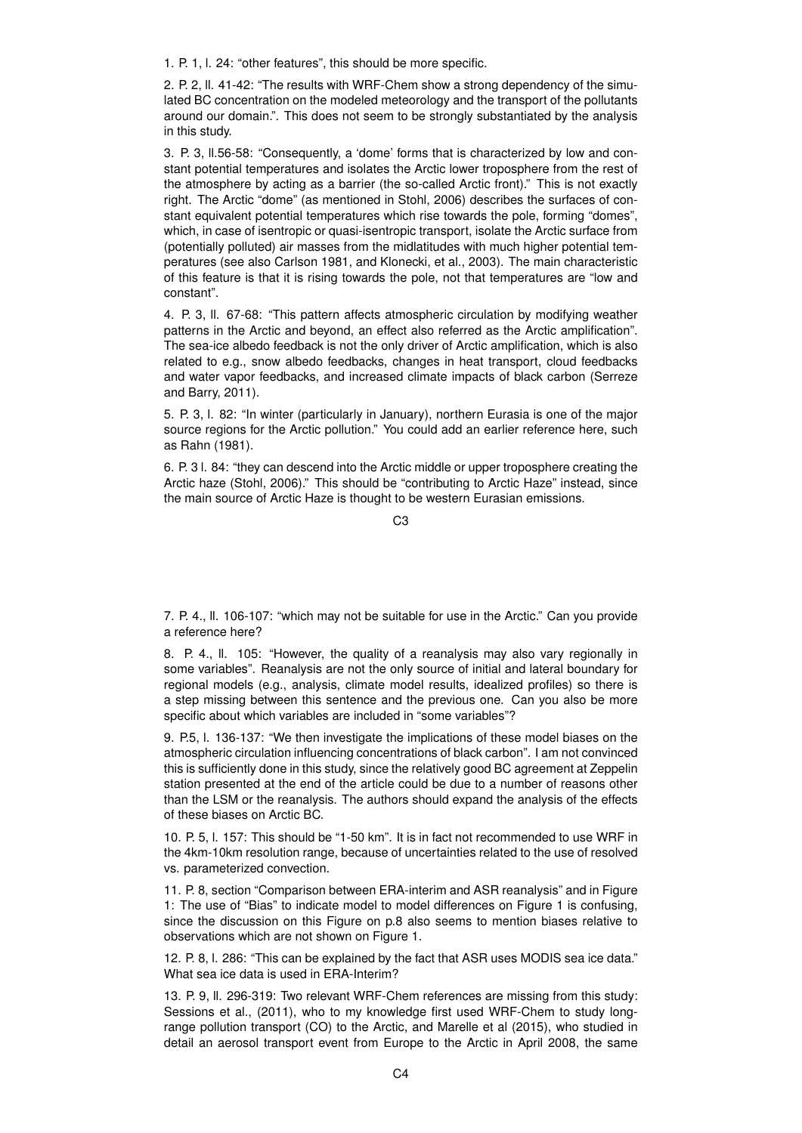1. P. 1, l. 24: "other features", this should be more specific.

2. P. 2, ll. 41-42: "The results with WRF-Chem show a strong dependency of the simulated BC concentration on the modeled meteorology and the transport of the pollutants around our domain.". This does not seem to be strongly substantiated by the analysis in this study.

3. P. 3, ll.56-58: "Consequently, a 'dome' forms that is characterized by low and constant potential temperatures and isolates the Arctic lower troposphere from the rest of the atmosphere by acting as a barrier (the so-called Arctic front)." This is not exactly right. The Arctic "dome" (as mentioned in Stohl, 2006) describes the surfaces of constant equivalent potential temperatures which rise towards the pole, forming "domes", which, in case of isentropic or quasi-isentropic transport, isolate the Arctic surface from (potentially polluted) air masses from the midlatitudes with much higher potential temperatures (see also Carlson 1981, and Klonecki, et al., 2003). The main characteristic of this feature is that it is rising towards the pole, not that temperatures are "low and constant".

4. P. 3, ll. 67-68: "This pattern affects atmospheric circulation by modifying weather patterns in the Arctic and beyond, an effect also referred as the Arctic amplification". The sea-ice albedo feedback is not the only driver of Arctic amplification, which is also related to e.g., snow albedo feedbacks, changes in heat transport, cloud feedbacks and water vapor feedbacks, and increased climate impacts of black carbon (Serreze and Barry, 2011).

5. P. 3, l. 82: "In winter (particularly in January), northern Eurasia is one of the major source regions for the Arctic pollution." You could add an earlier reference here, such as Rahn (1981).

6. P. 3 l. 84: "they can descend into the Arctic middle or upper troposphere creating the Arctic haze (Stohl, 2006)." This should be "contributing to Arctic Haze" instead, since the main source of Arctic Haze is thought to be western Eurasian emissions.

 $C3$ 

7. P. 4., ll. 106-107: "which may not be suitable for use in the Arctic." Can you provide a reference here?

8. P. 4., ll. 105: "However, the quality of a reanalysis may also vary regionally in some variables". Reanalysis are not the only source of initial and lateral boundary for regional models (e.g., analysis, climate model results, idealized profiles) so there is a step missing between this sentence and the previous one. Can you also be more specific about which variables are included in "some variables"?

9. P.5, l. 136-137: "We then investigate the implications of these model biases on the atmospheric circulation influencing concentrations of black carbon". I am not convinced this is sufficiently done in this study, since the relatively good BC agreement at Zeppelin station presented at the end of the article could be due to a number of reasons other than the LSM or the reanalysis. The authors should expand the analysis of the effects of these biases on Arctic BC.

10. P. 5, l. 157: This should be "1-50 km". It is in fact not recommended to use WRF in the 4km-10km resolution range, because of uncertainties related to the use of resolved vs. parameterized convection.

11. P. 8, section "Comparison between ERA-interim and ASR reanalysis" and in Figure 1: The use of "Bias" to indicate model to model differences on Figure 1 is confusing, since the discussion on this Figure on p.8 also seems to mention biases relative to observations which are not shown on Figure 1.

12. P. 8, l. 286: "This can be explained by the fact that ASR uses MODIS sea ice data." What sea ice data is used in ERA-Interim?

13. P. 9, ll. 296-319: Two relevant WRF-Chem references are missing from this study: Sessions et al., (2011), who to my knowledge first used WRF-Chem to study longrange pollution transport (CO) to the Arctic, and Marelle et al (2015), who studied in detail an aerosol transport event from Europe to the Arctic in April 2008, the same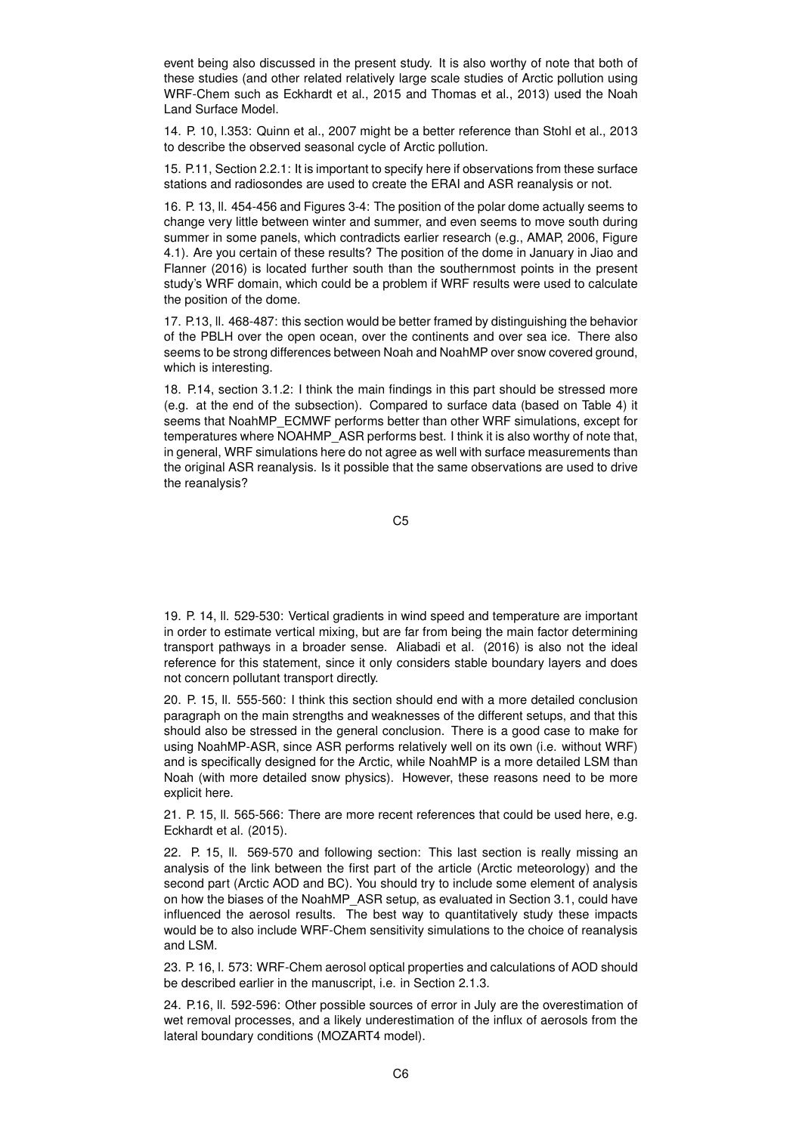event being also discussed in the present study. It is also worthy of note that both of these studies (and other related relatively large scale studies of Arctic pollution using WRF-Chem such as Eckhardt et al., 2015 and Thomas et al., 2013) used the Noah Land Surface Model.

14. P. 10, l.353: Quinn et al., 2007 might be a better reference than Stohl et al., 2013 to describe the observed seasonal cycle of Arctic pollution.

15. P.11, Section 2.2.1: It is important to specify here if observations from these surface stations and radiosondes are used to create the ERAI and ASR reanalysis or not.

16. P. 13, ll. 454-456 and Figures 3-4: The position of the polar dome actually seems to change very little between winter and summer, and even seems to move south during summer in some panels, which contradicts earlier research (e.g., AMAP, 2006, Figure 4.1). Are you certain of these results? The position of the dome in January in Jiao and Flanner (2016) is located further south than the southernmost points in the present study's WRF domain, which could be a problem if WRF results were used to calculate the position of the dome.

17. P.13, ll. 468-487: this section would be better framed by distinguishing the behavior of the PBLH over the open ocean, over the continents and over sea ice. There also seems to be strong differences between Noah and NoahMP over snow covered ground, which is interesting.

18. P.14, section 3.1.2: I think the main findings in this part should be stressed more (e.g. at the end of the subsection). Compared to surface data (based on Table 4) it seems that NoahMP\_ECMWF performs better than other WRF simulations, except for temperatures where NOAHMP\_ASR performs best. I think it is also worthy of note that, in general, WRF simulations here do not agree as well with surface measurements than the original ASR reanalysis. Is it possible that the same observations are used to drive the reanalysis?

C5

19. P. 14, ll. 529-530: Vertical gradients in wind speed and temperature are important in order to estimate vertical mixing, but are far from being the main factor determining transport pathways in a broader sense. Aliabadi et al. (2016) is also not the ideal reference for this statement, since it only considers stable boundary layers and does not concern pollutant transport directly.

20. P. 15, ll. 555-560: I think this section should end with a more detailed conclusion paragraph on the main strengths and weaknesses of the different setups, and that this should also be stressed in the general conclusion. There is a good case to make for using NoahMP-ASR, since ASR performs relatively well on its own (i.e. without WRF) and is specifically designed for the Arctic, while NoahMP is a more detailed LSM than Noah (with more detailed snow physics). However, these reasons need to be more explicit here.

21. P. 15, ll. 565-566: There are more recent references that could be used here, e.g. Eckhardt et al. (2015).

22. P. 15, ll. 569-570 and following section: This last section is really missing an analysis of the link between the first part of the article (Arctic meteorology) and the second part (Arctic AOD and BC). You should try to include some element of analysis on how the biases of the NoahMP\_ASR setup, as evaluated in Section 3.1, could have influenced the aerosol results. The best way to quantitatively study these impacts would be to also include WRF-Chem sensitivity simulations to the choice of reanalysis and LSM.

23. P. 16, l. 573: WRF-Chem aerosol optical properties and calculations of AOD should be described earlier in the manuscript, i.e. in Section 2.1.3.

24. P.16, ll. 592-596: Other possible sources of error in July are the overestimation of wet removal processes, and a likely underestimation of the influx of aerosols from the lateral boundary conditions (MOZART4 model).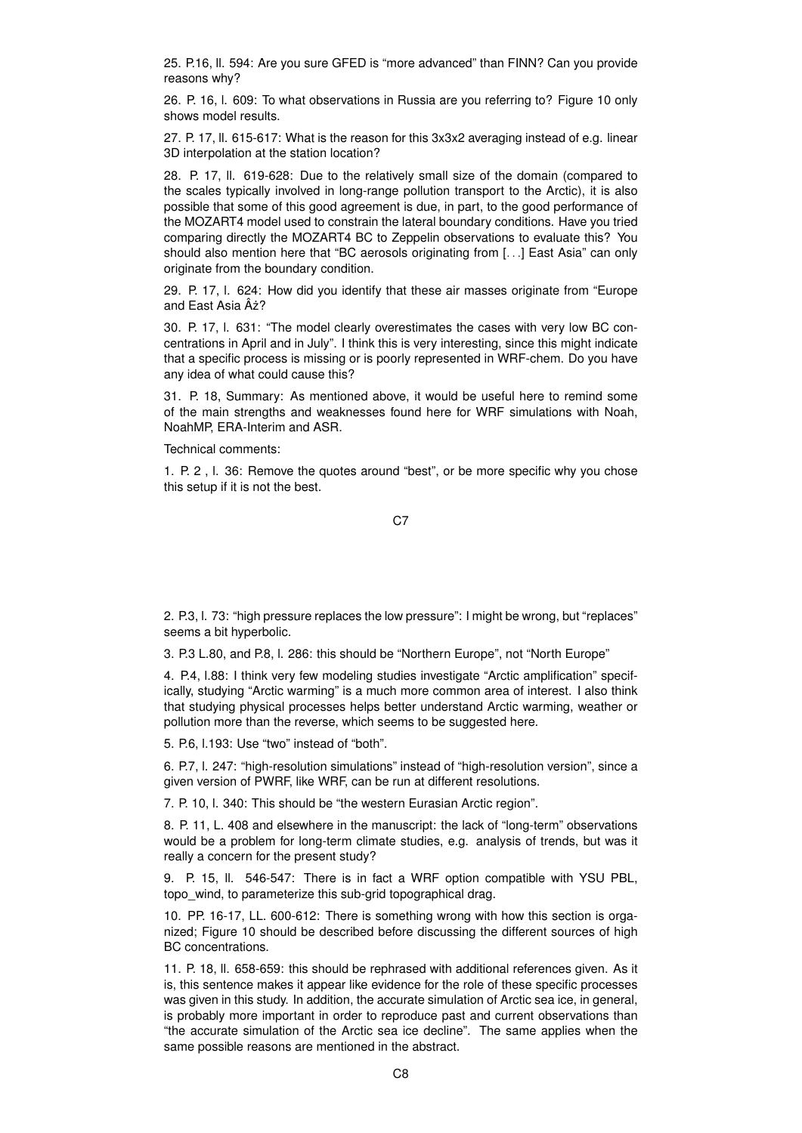25. P.16, ll. 594: Are you sure GFED is "more advanced" than FINN? Can you provide reasons why?

26. P. 16, l. 609: To what observations in Russia are you referring to? Figure 10 only shows model results.

27. P. 17, ll. 615-617: What is the reason for this 3x3x2 averaging instead of e.g. linear 3D interpolation at the station location?

28. P. 17, ll. 619-628: Due to the relatively small size of the domain (compared to the scales typically involved in long-range pollution transport to the Arctic), it is also possible that some of this good agreement is due, in part, to the good performance of the MOZART4 model used to constrain the lateral boundary conditions. Have you tried comparing directly the MOZART4 BC to Zeppelin observations to evaluate this? You should also mention here that "BC aerosols originating from [. . .] East Asia" can only originate from the boundary condition.

29. P. 17, l. 624: How did you identify that these air masses originate from "Europe and East Asia  $A\dot{z}$ ?

30. P. 17, l. 631: "The model clearly overestimates the cases with very low BC concentrations in April and in July". I think this is very interesting, since this might indicate that a specific process is missing or is poorly represented in WRF-chem. Do you have any idea of what could cause this?

31. P. 18, Summary: As mentioned above, it would be useful here to remind some of the main strengths and weaknesses found here for WRF simulations with Noah, NoahMP, ERA-Interim and ASR.

Technical comments:

1. P. 2 , l. 36: Remove the quotes around "best", or be more specific why you chose this setup if it is not the best.

C<sub>7</sub>

2. P.3, l. 73: "high pressure replaces the low pressure": I might be wrong, but "replaces" seems a bit hyperbolic.

3. P.3 L.80, and P.8, l. 286: this should be "Northern Europe", not "North Europe"

4. P.4, l.88: I think very few modeling studies investigate "Arctic amplification" specifically, studying "Arctic warming" is a much more common area of interest. I also think that studying physical processes helps better understand Arctic warming, weather or pollution more than the reverse, which seems to be suggested here.

5. P.6, l.193: Use "two" instead of "both".

6. P.7, l. 247: "high-resolution simulations" instead of "high-resolution version", since a given version of PWRF, like WRF, can be run at different resolutions.

7. P. 10, l. 340: This should be "the western Eurasian Arctic region".

8. P. 11, L. 408 and elsewhere in the manuscript: the lack of "long-term" observations would be a problem for long-term climate studies, e.g. analysis of trends, but was it really a concern for the present study?

9. P. 15, ll. 546-547: There is in fact a WRF option compatible with YSU PBL, topo\_wind, to parameterize this sub-grid topographical drag.

10. PP. 16-17, LL. 600-612: There is something wrong with how this section is organized; Figure 10 should be described before discussing the different sources of high BC concentrations.

11. P. 18, ll. 658-659: this should be rephrased with additional references given. As it is, this sentence makes it appear like evidence for the role of these specific processes was given in this study. In addition, the accurate simulation of Arctic sea ice, in general, is probably more important in order to reproduce past and current observations than "the accurate simulation of the Arctic sea ice decline". The same applies when the same possible reasons are mentioned in the abstract.